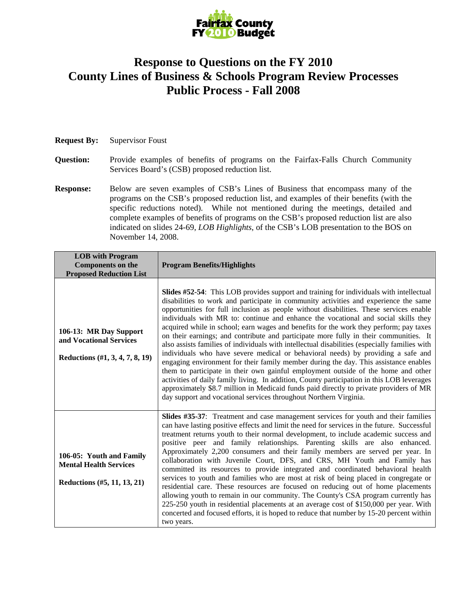

## **Response to Questions on the FY 2010 County Lines of Business & Schools Program Review Processes Public Process - Fall 2008**

## **Request By:** Supervisor Foust

- **Question:** Provide examples of benefits of programs on the Fairfax-Falls Church Community Services Board's (CSB) proposed reduction list.
- **Response:** Below are seven examples of CSB's Lines of Business that encompass many of the programs on the CSB's proposed reduction list, and examples of their benefits (with the specific reductions noted). While not mentioned during the meetings, detailed and complete examples of benefits of programs on the CSB's proposed reduction list are also indicated on slides 24-69, *LOB Highlights*, of the CSB's LOB presentation to the BOS on November 14, 2008.

| <b>LOB</b> with Program<br><b>Components on the</b><br><b>Proposed Reduction List</b>    | <b>Program Benefits/Highlights</b>                                                                                                                                                                                                                                                                                                                                                                                                                                                                                                                                                                                                                                                                                                                                                                                                                                                                                                                                                                                                                                                                                                                                                       |
|------------------------------------------------------------------------------------------|------------------------------------------------------------------------------------------------------------------------------------------------------------------------------------------------------------------------------------------------------------------------------------------------------------------------------------------------------------------------------------------------------------------------------------------------------------------------------------------------------------------------------------------------------------------------------------------------------------------------------------------------------------------------------------------------------------------------------------------------------------------------------------------------------------------------------------------------------------------------------------------------------------------------------------------------------------------------------------------------------------------------------------------------------------------------------------------------------------------------------------------------------------------------------------------|
| 106-13: MR Day Support<br>and Vocational Services<br>Reductions (#1, 3, 4, 7, 8, 19)     | <b>Slides #52-54:</b> This LOB provides support and training for individuals with intellectual<br>disabilities to work and participate in community activities and experience the same<br>opportunities for full inclusion as people without disabilities. These services enable<br>individuals with MR to: continue and enhance the vocational and social skills they<br>acquired while in school; earn wages and benefits for the work they perform; pay taxes<br>on their earnings; and contribute and participate more fully in their communities. It<br>also assists families of individuals with intellectual disabilities (especially families with<br>individuals who have severe medical or behavioral needs) by providing a safe and<br>engaging environment for their family member during the day. This assistance enables<br>them to participate in their own gainful employment outside of the home and other<br>activities of daily family living. In addition, County participation in this LOB leverages<br>approximately \$8.7 million in Medicaid funds paid directly to private providers of MR<br>day support and vocational services throughout Northern Virginia. |
| 106-05: Youth and Family<br><b>Mental Health Services</b><br>Reductions (#5, 11, 13, 21) | Slides #35-37: Treatment and case management services for youth and their families<br>can have lasting positive effects and limit the need for services in the future. Successful<br>treatment returns youth to their normal development, to include academic success and<br>positive peer and family relationships. Parenting skills are also enhanced.<br>Approximately 2,200 consumers and their family members are served per year. In<br>collaboration with Juvenile Court, DFS, and CRS, MH Youth and Family has<br>committed its resources to provide integrated and coordinated behavioral health<br>services to youth and families who are most at risk of being placed in congregate or<br>residential care. These resources are focused on reducing out of home placements<br>allowing youth to remain in our community. The County's CSA program currently has<br>225-250 youth in residential placements at an average cost of \$150,000 per year. With<br>concerted and focused efforts, it is hoped to reduce that number by 15-20 percent within<br>two years.                                                                                                           |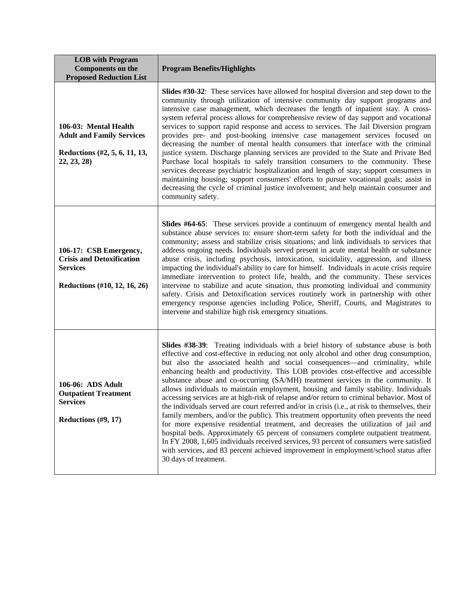| <b>LOB</b> with Program<br><b>Components on the</b><br><b>Proposed Reduction List</b>                         | <b>Program Benefits/Highlights</b>                                                                                                                                                                                                                                                                                                                                                                                                                                                                                                                                                                                                                                                                                                                                                                                                                                                                                                                                                                                                                                                                                                                                                                                         |
|---------------------------------------------------------------------------------------------------------------|----------------------------------------------------------------------------------------------------------------------------------------------------------------------------------------------------------------------------------------------------------------------------------------------------------------------------------------------------------------------------------------------------------------------------------------------------------------------------------------------------------------------------------------------------------------------------------------------------------------------------------------------------------------------------------------------------------------------------------------------------------------------------------------------------------------------------------------------------------------------------------------------------------------------------------------------------------------------------------------------------------------------------------------------------------------------------------------------------------------------------------------------------------------------------------------------------------------------------|
| 106-03: Mental Health<br><b>Adult and Family Services</b><br>Reductions (#2, 5, 6, 11, 13,<br>22, 23, 28      | <b>Slides #30-32</b> : These services have allowed for hospital diversion and step down to the<br>community through utilization of intensive community day support programs and<br>intensive case management, which decreases the length of inpatient stay. A cross-<br>system referral process allows for comprehensive review of day support and vocational<br>services to support rapid response and access to services. The Jail Diversion program<br>provides pre- and post-booking intensive case management services focused on<br>decreasing the number of mental health consumers that interface with the criminal<br>justice system. Discharge planning services are provided to the State and Private Bed<br>Purchase local hospitals to safely transition consumers to the community. These<br>services decrease psychiatric hospitalization and length of stay; support consumers in<br>maintaining housing; support consumers' efforts to pursue vocational goals; assist in<br>decreasing the cycle of criminal justice involvement; and help maintain consumer and<br>community safety.                                                                                                                    |
| 106-17: CSB Emergency,<br><b>Crisis and Detoxification</b><br><b>Services</b><br>Reductions (#10, 12, 16, 26) | <b>Slides #64-65</b> : These services provide a continuum of emergency mental health and<br>substance abuse services to: ensure short-term safety for both the individual and the<br>community; assess and stabilize crisis situations; and link individuals to services that<br>address ongoing needs. Individuals served present in acute mental health or substance<br>abuse crisis, including psychosis, intoxication, suicidality, aggression, and illness<br>impacting the individual's ability to care for himself. Individuals in acute crisis require<br>immediate intervention to protect life, health, and the community. These services<br>intervene to stabilize and acute situation, thus promoting individual and community<br>safety. Crisis and Detoxification services routinely work in partnership with other<br>emergency response agencies including Police, Sheriff, Courts, and Magistrates to<br>intervene and stabilize high risk emergency situations.                                                                                                                                                                                                                                          |
| 106-06: ADS Adult<br><b>Outpatient Treatment</b><br><b>Services</b><br>Reductions $(\#9, 17)$                 | <b>Slides #38-39:</b> Treating individuals with a brief history of substance abuse is both<br>effective and cost-effective in reducing not only alcohol and other drug consumption,<br>but also the associated health and social consequences—and criminality, while<br>enhancing health and productivity. This LOB provides cost-effective and accessible<br>substance abuse and co-occurring (SA/MH) treatment services in the community. It<br>allows individuals to maintain employment, housing and family stability. Individuals<br>accessing services are at high-risk of relapse and/or return to criminal behavior. Most of<br>the individuals served are court referred and/or in crisis (i.e., at risk to themselves, their<br>family members, and/or the public). This treatment opportunity often prevents the need<br>for more expensive residential treatment, and decreases the utilization of jail and<br>hospital beds. Approximately 65 percent of consumers complete outpatient treatment.<br>In FY 2008, 1,605 individuals received services, 93 percent of consumers were satisfied<br>with services, and 83 percent achieved improvement in employment/school status after<br>30 days of treatment. |